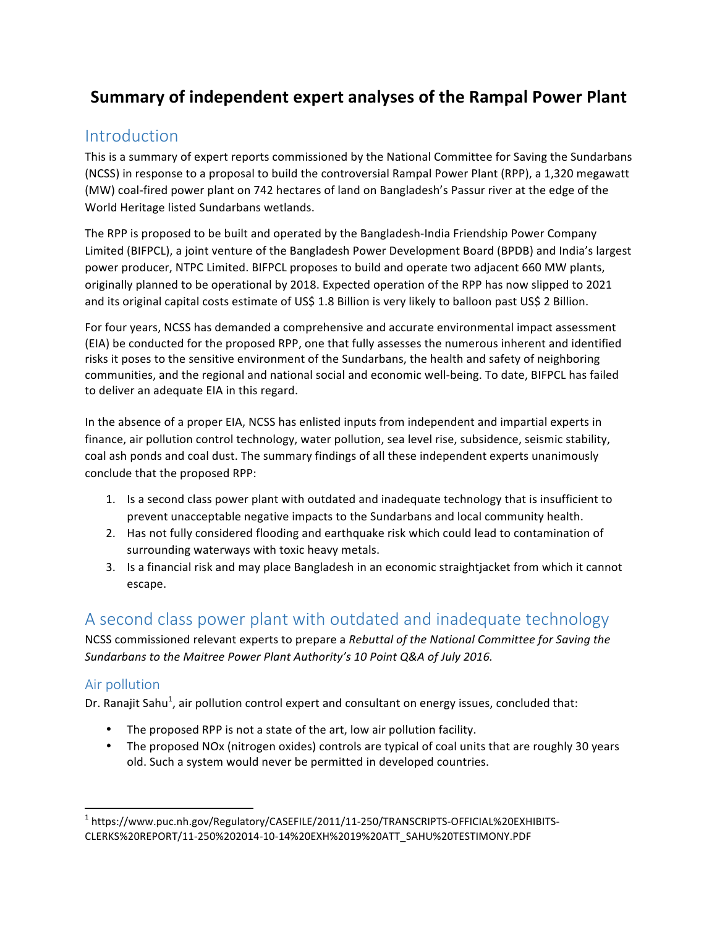# **Summary of independent expert analyses of the Rampal Power Plant**

# **Introduction**

This is a summary of expert reports commissioned by the National Committee for Saving the Sundarbans (NCSS) in response to a proposal to build the controversial Rampal Power Plant (RPP), a 1,320 megawatt (MW) coal-fired power plant on 742 hectares of land on Bangladesh's Passur river at the edge of the World Heritage listed Sundarbans wetlands.

The RPP is proposed to be built and operated by the Bangladesh-India Friendship Power Company Limited (BIFPCL), a joint venture of the Bangladesh Power Development Board (BPDB) and India's largest power producer, NTPC Limited. BIFPCL proposes to build and operate two adjacent 660 MW plants, originally planned to be operational by 2018. Expected operation of the RPP has now slipped to 2021 and its original capital costs estimate of US\$ 1.8 Billion is very likely to balloon past US\$ 2 Billion.

For four years, NCSS has demanded a comprehensive and accurate environmental impact assessment (EIA) be conducted for the proposed RPP, one that fully assesses the numerous inherent and identified risks it poses to the sensitive environment of the Sundarbans, the health and safety of neighboring communities, and the regional and national social and economic well-being. To date, BIFPCL has failed to deliver an adequate EIA in this regard.

In the absence of a proper EIA, NCSS has enlisted inputs from independent and impartial experts in finance, air pollution control technology, water pollution, sea level rise, subsidence, seismic stability, coal ash ponds and coal dust. The summary findings of all these independent experts unanimously conclude that the proposed RPP:

- 1. Is a second class power plant with outdated and inadequate technology that is insufficient to prevent unacceptable negative impacts to the Sundarbans and local community health.
- 2. Has not fully considered flooding and earthquake risk which could lead to contamination of surrounding waterways with toxic heavy metals.
- 3. Is a financial risk and may place Bangladesh in an economic straightjacket from which it cannot escape.

# A second class power plant with outdated and inadequate technology

NCSS commissioned relevant experts to prepare a *Rebuttal of the National Committee for Saving the* Sundarbans to the Maitree Power Plant Authority's 10 Point Q&A of July 2016.

### Air pollution

<u> 1989 - Johann Stein, markin film yn y breninn y breninn y breninn y breninn y breninn y breninn y breninn y b</u>

Dr. Ranajit Sahu<sup>1</sup>, air pollution control expert and consultant on energy issues, concluded that:

- The proposed RPP is not a state of the art, low air pollution facility.
- The proposed NOx (nitrogen oxides) controls are typical of coal units that are roughly 30 years old. Such a system would never be permitted in developed countries.

<sup>1</sup> https://www.puc.nh.gov/Regulatory/CASEFILE/2011/11-250/TRANSCRIPTS-OFFICIAL%20EXHIBITS-CLERKS%20REPORT/11-250%202014-10-14%20EXH%2019%20ATT\_SAHU%20TESTIMONY.PDF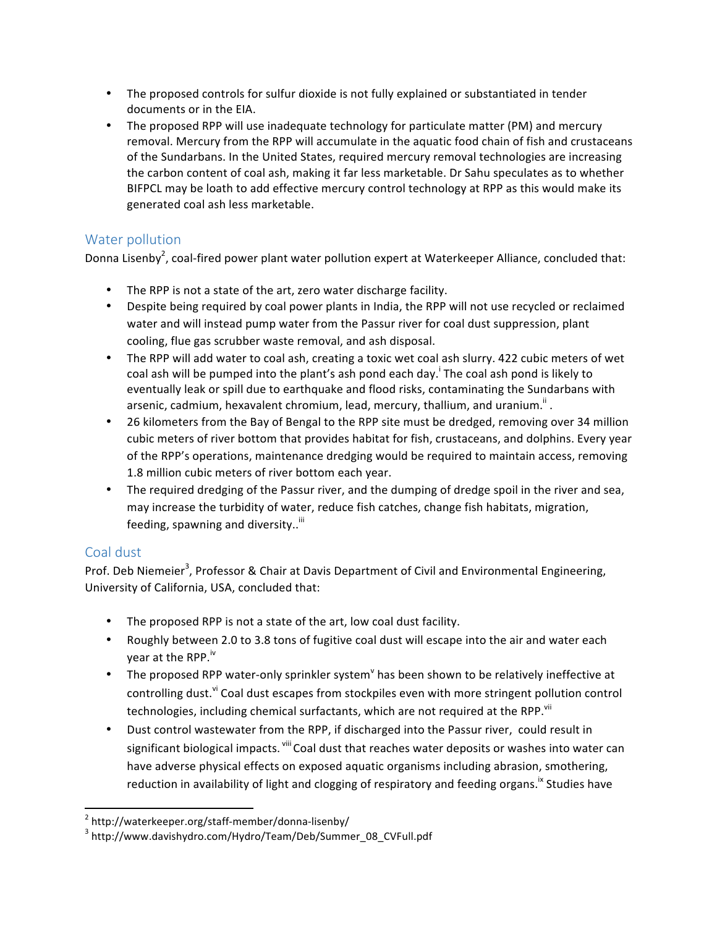- The proposed controls for sulfur dioxide is not fully explained or substantiated in tender documents or in the EIA.
- The proposed RPP will use inadequate technology for particulate matter (PM) and mercury removal. Mercury from the RPP will accumulate in the aquatic food chain of fish and crustaceans of the Sundarbans. In the United States, required mercury removal technologies are increasing the carbon content of coal ash, making it far less marketable. Dr Sahu speculates as to whether BIFPCL may be loath to add effective mercury control technology at RPP as this would make its generated coal ash less marketable.

### Water pollution

Donna Lisenby<sup>2</sup>, coal-fired power plant water pollution expert at Waterkeeper Alliance, concluded that:

- The RPP is not a state of the art, zero water discharge facility.
- Despite being required by coal power plants in India, the RPP will not use recycled or reclaimed water and will instead pump water from the Passur river for coal dust suppression, plant cooling, flue gas scrubber waste removal, and ash disposal.
- The RPP will add water to coal ash, creating a toxic wet coal ash slurry. 422 cubic meters of wet coal ash will be pumped into the plant's ash pond each day.<sup>1</sup> The coal ash pond is likely to eventually leak or spill due to earthquake and flood risks, contaminating the Sundarbans with arsenic, cadmium, hexavalent chromium, lead, mercury, thallium, and uranium.<sup>"</sup>.
- 26 kilometers from the Bay of Bengal to the RPP site must be dredged, removing over 34 million cubic meters of river bottom that provides habitat for fish, crustaceans, and dolphins. Every year of the RPP's operations, maintenance dredging would be required to maintain access, removing 1.8 million cubic meters of river bottom each year.
- The required dredging of the Passur river, and the dumping of dredge spoil in the river and sea, may increase the turbidity of water, reduce fish catches, change fish habitats, migration, feeding, spawning and diversity..<sup>iii</sup>

### Coal dust

Prof. Deb Niemeier<sup>3</sup>, Professor & Chair at Davis Department of Civil and Environmental Engineering, University of California, USA, concluded that:

- The proposed RPP is not a state of the art, low coal dust facility.
- Roughly between 2.0 to 3.8 tons of fugitive coal dust will escape into the air and water each year at the RPP. $iv$
- The proposed RPP water-only sprinkler system has been shown to be relatively ineffective at controlling dust.<sup>vi</sup> Coal dust escapes from stockpiles even with more stringent pollution control technologies, including chemical surfactants, which are not required at the RPP.<sup>vii</sup>
- Dust control wastewater from the RPP, if discharged into the Passur river, could result in significant biological impacts. "<sup>iii</sup> Coal dust that reaches water deposits or washes into water can have adverse physical effects on exposed aquatic organisms including abrasion, smothering, reduction in availability of light and clogging of respiratory and feeding organs.<sup>ix</sup> Studies have

<sup>&</sup>lt;sup>2</sup> http://waterkeeper.org/staff-member/donna-lisenby/

<sup>&</sup>lt;sup>3</sup> http://www.davishydro.com/Hydro/Team/Deb/Summer\_08\_CVFull.pdf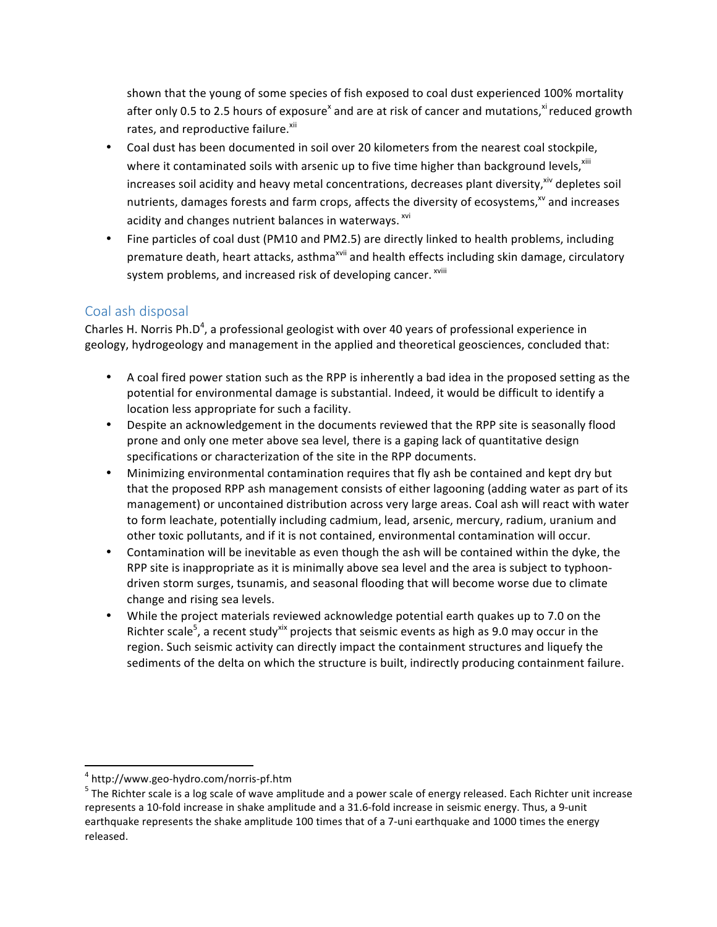shown that the young of some species of fish exposed to coal dust experienced 100% mortality after only 0.5 to 2.5 hours of exposure<sup>x</sup> and are at risk of cancer and mutations,<sup>xi</sup> reduced growth rates, and reproductive failure.<sup>xii</sup>

- Coal dust has been documented in soil over 20 kilometers from the nearest coal stockpile, where it contaminated soils with arsenic up to five time higher than background levels, xili increases soil acidity and heavy metal concentrations, decreases plant diversity,<sup>xiv</sup> depletes soil nutrients, damages forests and farm crops, affects the diversity of ecosystems,<sup>xv</sup> and increases acidity and changes nutrient balances in waterways. <sup>xvi</sup>
- Fine particles of coal dust (PM10 and PM2.5) are directly linked to health problems, including premature death, heart attacks, asthma<sup>xvii</sup> and health effects including skin damage, circulatory system problems, and increased risk of developing cancer. <sup>xviii</sup>

## Coal ash disposal

Charles H. Norris Ph.D<sup>4</sup>, a professional geologist with over 40 years of professional experience in geology, hydrogeology and management in the applied and theoretical geosciences, concluded that:

- A coal fired power station such as the RPP is inherently a bad idea in the proposed setting as the potential for environmental damage is substantial. Indeed, it would be difficult to identify a location less appropriate for such a facility.
- Despite an acknowledgement in the documents reviewed that the RPP site is seasonally flood prone and only one meter above sea level, there is a gaping lack of quantitative design specifications or characterization of the site in the RPP documents.
- Minimizing environmental contamination requires that fly ash be contained and kept dry but that the proposed RPP ash management consists of either lagooning (adding water as part of its management) or uncontained distribution across very large areas. Coal ash will react with water to form leachate, potentially including cadmium, lead, arsenic, mercury, radium, uranium and other toxic pollutants, and if it is not contained, environmental contamination will occur.
- Contamination will be inevitable as even though the ash will be contained within the dyke, the RPP site is inappropriate as it is minimally above sea level and the area is subject to typhoondriven storm surges, tsunamis, and seasonal flooding that will become worse due to climate change and rising sea levels.
- While the project materials reviewed acknowledge potential earth quakes up to 7.0 on the Richter scale<sup>5</sup>, a recent study<sup>xix</sup> projects that seismic events as high as 9.0 may occur in the region. Such seismic activity can directly impact the containment structures and liquefy the sediments of the delta on which the structure is built, indirectly producing containment failure.

<u> 1989 - Johann Stein, markin film yn y breninn y breninn y breninn y breninn y breninn y breninn y breninn y b</u>

 $4 \text{ http://www.geo-hydro.com/norris-pf.htm}$ <br>  $5 \text{ The Richter scale is a log scale of wave amplitude and a power scale of energy released. Each Richter unit increase}$ represents a 10-fold increase in shake amplitude and a 31.6-fold increase in seismic energy. Thus, a 9-unit earthquake represents the shake amplitude 100 times that of a 7-uni earthquake and 1000 times the energy released.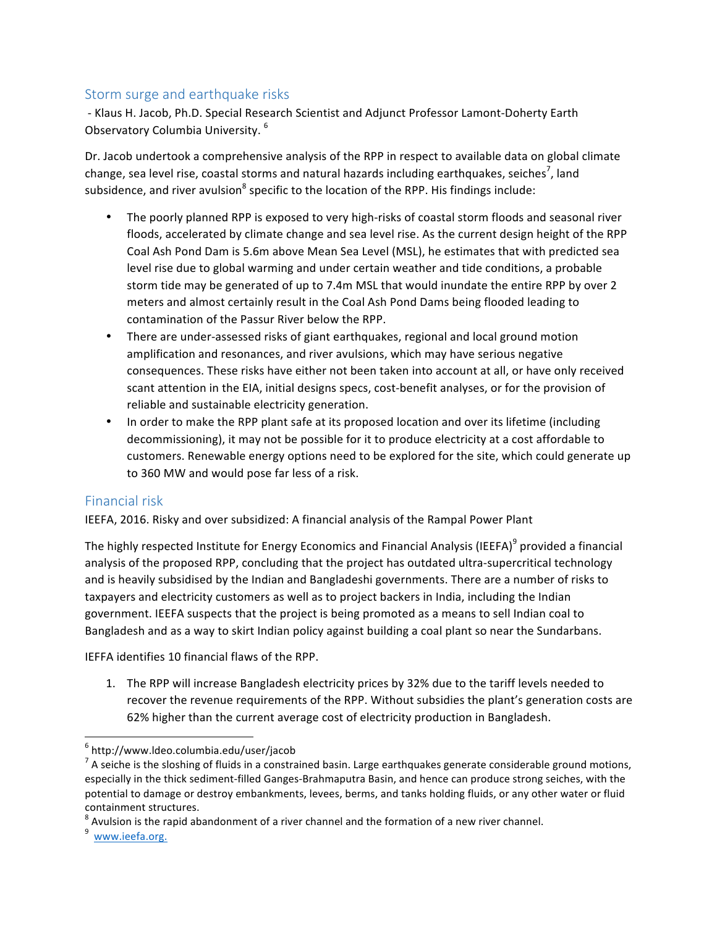#### Storm surge and earthquake risks

- Klaus H. Jacob, Ph.D. Special Research Scientist and Adjunct Professor Lamont-Doherty Earth Observatory Columbia University.<sup>6</sup>

Dr. Jacob undertook a comprehensive analysis of the RPP in respect to available data on global climate change, sea level rise, coastal storms and natural hazards including earthquakes, seiches<sup>7</sup>, land subsidence, and river avulsion<sup>8</sup> specific to the location of the RPP. His findings include:

- The poorly planned RPP is exposed to very high-risks of coastal storm floods and seasonal river floods, accelerated by climate change and sea level rise. As the current design height of the RPP Coal Ash Pond Dam is 5.6m above Mean Sea Level (MSL), he estimates that with predicted sea level rise due to global warming and under certain weather and tide conditions, a probable storm tide may be generated of up to 7.4m MSL that would inundate the entire RPP by over 2 meters and almost certainly result in the Coal Ash Pond Dams being flooded leading to contamination of the Passur River below the RPP.
- There are under-assessed risks of giant earthquakes, regional and local ground motion amplification and resonances, and river avulsions, which may have serious negative consequences. These risks have either not been taken into account at all, or have only received scant attention in the EIA, initial designs specs, cost-benefit analyses, or for the provision of reliable and sustainable electricity generation.
- In order to make the RPP plant safe at its proposed location and over its lifetime (including decommissioning), it may not be possible for it to produce electricity at a cost affordable to customers. Renewable energy options need to be explored for the site, which could generate up to 360 MW and would pose far less of a risk.

#### Financial risk

IEEFA, 2016. Risky and over subsidized: A financial analysis of the Rampal Power Plant

The highly respected Institute for Energy Economics and Financial Analysis (IEEFA)<sup>9</sup> provided a financial analysis of the proposed RPP, concluding that the project has outdated ultra-supercritical technology and is heavily subsidised by the Indian and Bangladeshi governments. There are a number of risks to taxpayers and electricity customers as well as to project backers in India, including the Indian government. IEEFA suspects that the project is being promoted as a means to sell Indian coal to Bangladesh and as a way to skirt Indian policy against building a coal plant so near the Sundarbans.

IEFFA identifies 10 financial flaws of the RPP.

1. The RPP will increase Bangladesh electricity prices by 32% due to the tariff levels needed to recover the revenue requirements of the RPP. Without subsidies the plant's generation costs are 62% higher than the current average cost of electricity production in Bangladesh.

<u> 1989 - Johann Stein, markin film yn y breninn y breninn y breninn y breninn y breninn y breninn y breninn y b</u>

<sup>6</sup> http://www.ldeo.columbia.edu/user/jacob

 $<sup>7</sup>$  A seiche is the sloshing of fluids in a constrained basin. Large earthquakes generate considerable ground motions,</sup> especially in the thick sediment-filled Ganges-Brahmaputra Basin, and hence can produce strong seiches, with the potential to damage or destroy embankments, levees, berms, and tanks holding fluids, or any other water or fluid containment structures.

<sup>&</sup>lt;sup>8</sup> Avulsion is the rapid abandonment of a river channel and the formation of a new river channel.<br><sup>9</sup> www.ieefa.org.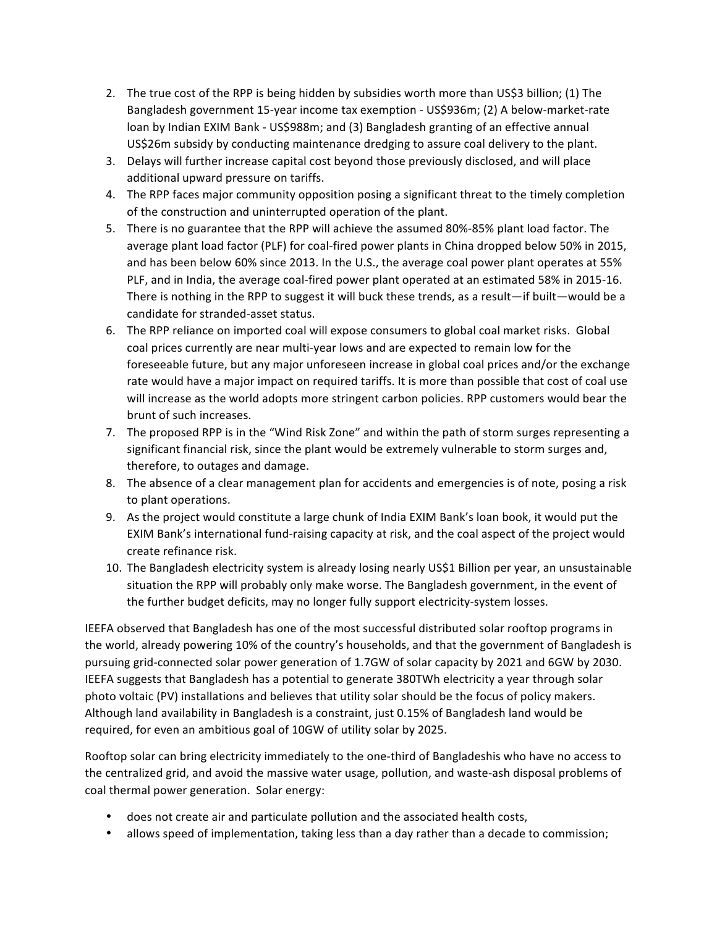- 2. The true cost of the RPP is being hidden by subsidies worth more than US\$3 billion; (1) The Bangladesh government 15-year income tax exemption - US\$936m; (2) A below-market-rate loan by Indian EXIM Bank - US\$988m; and (3) Bangladesh granting of an effective annual US\$26m subsidy by conducting maintenance dredging to assure coal delivery to the plant.
- 3. Delays will further increase capital cost beyond those previously disclosed, and will place additional upward pressure on tariffs.
- 4. The RPP faces major community opposition posing a significant threat to the timely completion of the construction and uninterrupted operation of the plant.
- 5. There is no guarantee that the RPP will achieve the assumed 80%-85% plant load factor. The average plant load factor (PLF) for coal-fired power plants in China dropped below 50% in 2015, and has been below 60% since 2013. In the U.S., the average coal power plant operates at 55% PLF, and in India, the average coal-fired power plant operated at an estimated 58% in 2015-16. There is nothing in the RPP to suggest it will buck these trends, as a result—if built—would be a candidate for stranded-asset status.
- 6. The RPP reliance on imported coal will expose consumers to global coal market risks. Global coal prices currently are near multi-year lows and are expected to remain low for the foreseeable future, but any major unforeseen increase in global coal prices and/or the exchange rate would have a major impact on required tariffs. It is more than possible that cost of coal use will increase as the world adopts more stringent carbon policies. RPP customers would bear the brunt of such increases.
- 7. The proposed RPP is in the "Wind Risk Zone" and within the path of storm surges representing a significant financial risk, since the plant would be extremely vulnerable to storm surges and, therefore, to outages and damage.
- 8. The absence of a clear management plan for accidents and emergencies is of note, posing a risk to plant operations.
- 9. As the project would constitute a large chunk of India EXIM Bank's loan book, it would put the EXIM Bank's international fund-raising capacity at risk, and the coal aspect of the project would create refinance risk.
- 10. The Bangladesh electricity system is already losing nearly US\$1 Billion per year, an unsustainable situation the RPP will probably only make worse. The Bangladesh government, in the event of the further budget deficits, may no longer fully support electricity-system losses.

IEEFA observed that Bangladesh has one of the most successful distributed solar rooftop programs in the world, already powering 10% of the country's households, and that the government of Bangladesh is pursuing grid-connected solar power generation of 1.7GW of solar capacity by 2021 and 6GW by 2030. IEEFA suggests that Bangladesh has a potential to generate 380TWh electricity a year through solar photo voltaic (PV) installations and believes that utility solar should be the focus of policy makers. Although land availability in Bangladesh is a constraint, just 0.15% of Bangladesh land would be required, for even an ambitious goal of 10GW of utility solar by 2025.

Rooftop solar can bring electricity immediately to the one-third of Bangladeshis who have no access to the centralized grid, and avoid the massive water usage, pollution, and waste-ash disposal problems of coal thermal power generation. Solar energy:

- does not create air and particulate pollution and the associated health costs,
- allows speed of implementation, taking less than a day rather than a decade to commission;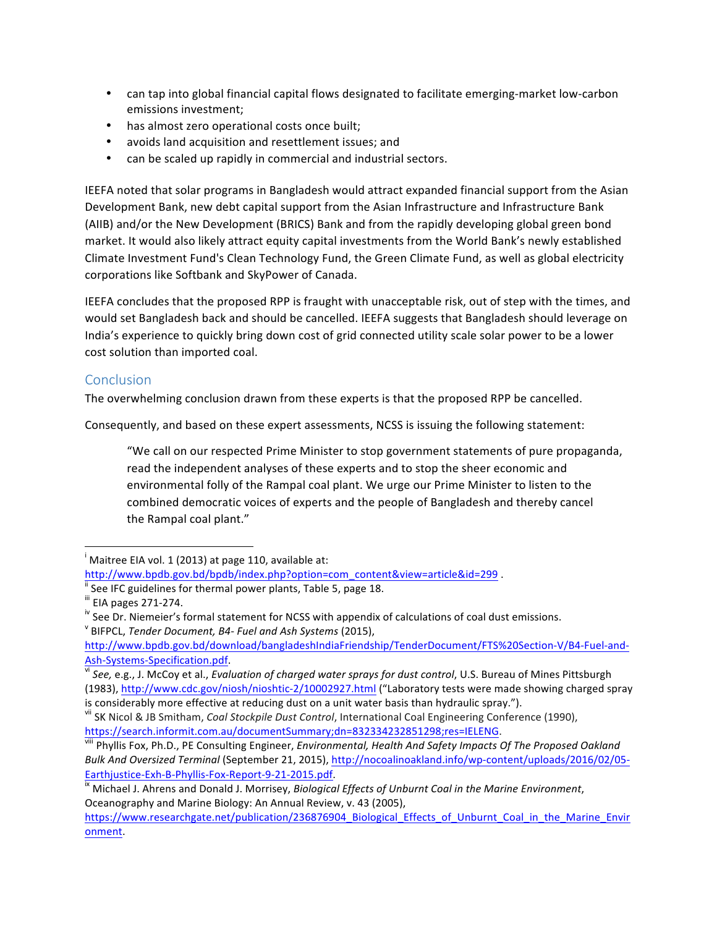- can tap into global financial capital flows designated to facilitate emerging-market low-carbon emissions investment;
- has almost zero operational costs once built;
- avoids land acquisition and resettlement issues; and
- can be scaled up rapidly in commercial and industrial sectors.

IEEFA noted that solar programs in Bangladesh would attract expanded financial support from the Asian Development Bank, new debt capital support from the Asian Infrastructure and Infrastructure Bank (AIIB) and/or the New Development (BRICS) Bank and from the rapidly developing global green bond market. It would also likely attract equity capital investments from the World Bank's newly established Climate Investment Fund's Clean Technology Fund, the Green Climate Fund, as well as global electricity corporations like Softbank and SkyPower of Canada.

IEEFA concludes that the proposed RPP is fraught with unacceptable risk, out of step with the times, and would set Bangladesh back and should be cancelled. IEEFA suggests that Bangladesh should leverage on India's experience to quickly bring down cost of grid connected utility scale solar power to be a lower cost solution than imported coal.

#### **Conclusion**

The overwhelming conclusion drawn from these experts is that the proposed RPP be cancelled.

Consequently, and based on these expert assessments, NCSS is issuing the following statement:

"We call on our respected Prime Minister to stop government statements of pure propaganda, read the independent analyses of these experts and to stop the sheer economic and environmental folly of the Rampal coal plant. We urge our Prime Minister to listen to the combined democratic voices of experts and the people of Bangladesh and thereby cancel the Rampal coal plant."

<u> 1989 - Johann Stein, markin film yn y breninn y breninn y breninn y breninn y breninn y breninn y breninn y b</u>

(1983), http://www.cdc.gov/niosh/nioshtic-2/10002927.html ("Laboratory tests were made showing charged spray

 $\overline{I}$  Maitree EIA vol. 1 (2013) at page 110, available at:

http://www.bpdb.gov.bd/bpdb/index.php?option=com\_content&view=article&id=299 .<br>
"See IFC guidelines for thermal power plants, Table 5, page 18.<br>
"" EIA pages 271-274.

<sup>&</sup>lt;sup>iv</sup> See Dr. Niemeier's formal statement for NCSS with appendix of calculations of coal dust emissions.<br><sup>v</sup> BIFPCL, *Tender Document, B4- Fuel and Ash Systems* (2015),

http://www.bpdb.gov.bd/download/bangladeshIndiaFriendship/TenderDocument/FTS%20Section-V/B4-Fuel-and-Ash-Systems-Specification.pdf.<br>
<sup>vi</sup> See, e.g., J. McCoy et al., *Evaluation of charged water sprays for dust control*, U.S. Bureau of Mines Pittsburgh

is considerably more effective at reducing dust on a unit water basis than hydraulic spray.").<br>Vii SK Nicol & JB Smitham, *Coal Stockpile Dust Control*, International Coal Engineering Conference (1990),

https://search.informit.com.au/documentSummary;dn=832334232851298;res=IELENG.<br>
<sup>Viii</sup> Phyllis Fox, Ph.D., PE Consulting Engineer, *Environmental, Health And Safety Impacts Of The Proposed Oakland Bulk And Oversized Terminal* (September 21, 2015), http://nocoalinoakland.info/wp-content/uploads/2016/02/05- Earthjustice-Exh-B-Phyllis-Fox-Report-9-21-2015.pdf.<br><sup>ix</sup> Michael J. Ahrens and Donald J. Morrisey, *Biological Effects of Unburnt Coal in the Marine Environment*,

Oceanography and Marine Biology: An Annual Review, v. 43 (2005),

https://www.researchgate.net/publication/236876904\_Biological\_Effects\_of\_Unburnt\_Coal\_in\_the\_Marine\_Envir onment.